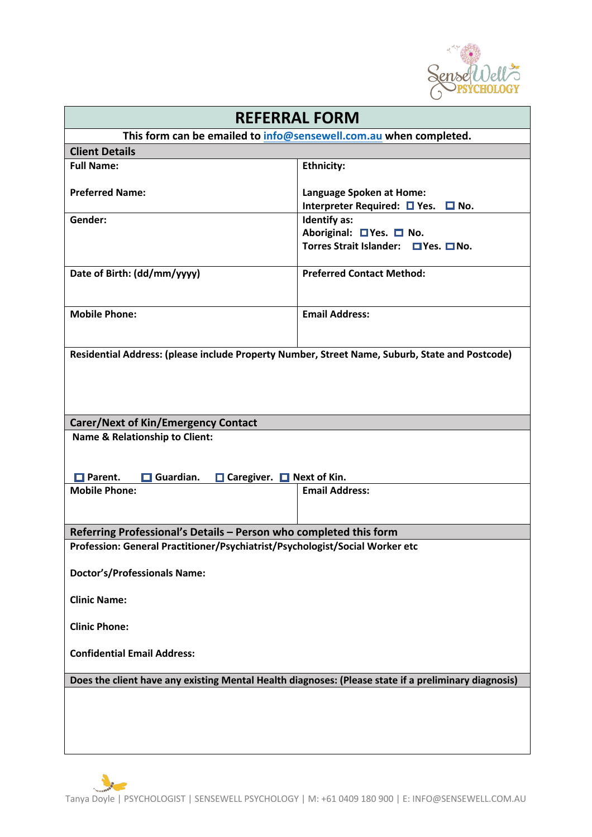

| <b>REFERRAL FORM</b>                                                                                 |                                                                                         |
|------------------------------------------------------------------------------------------------------|-----------------------------------------------------------------------------------------|
| This form can be emailed to info@sensewell.com.au when completed.                                    |                                                                                         |
| <b>Client Details</b>                                                                                |                                                                                         |
| <b>Full Name:</b>                                                                                    | <b>Ethnicity:</b>                                                                       |
| <b>Preferred Name:</b>                                                                               | Language Spoken at Home:<br>Interpreter Required: $\Box$ Yes.<br>$\Box$ No.             |
| Gender:                                                                                              | <b>Identify as:</b><br>Aboriginal: □ Yes. □ No.<br>Torres Strait Islander: □ Yes. □ No. |
| Date of Birth: (dd/mm/yyyy)                                                                          | <b>Preferred Contact Method:</b>                                                        |
| <b>Mobile Phone:</b>                                                                                 | <b>Email Address:</b>                                                                   |
| Residential Address: (please include Property Number, Street Name, Suburb, State and Postcode)       |                                                                                         |
| <b>Carer/Next of Kin/Emergency Contact</b>                                                           |                                                                                         |
| <b>Name &amp; Relationship to Client:</b><br>Guardian.<br>□ Caregiver. □ Next of Kin.                |                                                                                         |
| $\Box$ Parent.<br>п<br><b>Mobile Phone:</b>                                                          | <b>Email Address:</b>                                                                   |
|                                                                                                      |                                                                                         |
| Referring Professional's Details - Person who completed this form                                    |                                                                                         |
| Profession: General Practitioner/Psychiatrist/Psychologist/Social Worker etc                         |                                                                                         |
| <b>Doctor's/Professionals Name:</b>                                                                  |                                                                                         |
| <b>Clinic Name:</b>                                                                                  |                                                                                         |
| <b>Clinic Phone:</b>                                                                                 |                                                                                         |
| <b>Confidential Email Address:</b>                                                                   |                                                                                         |
| Does the client have any existing Mental Health diagnoses: (Please state if a preliminary diagnosis) |                                                                                         |
|                                                                                                      |                                                                                         |